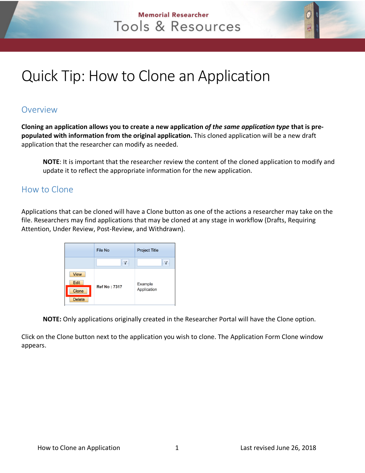## **Memorial Researcher** Tools & Resources



## **Overview**

**Cloning an application allows you to create a new application** *of the same application type* **that is prepopulated with information from the original application.** This cloned application will be a new draft application that the researcher can modify as needed.

**NOTE**: It is important that the researcher review the content of the cloned application to modify and update it to reflect the appropriate information for the new application.

## How to Clone

Applications that can be cloned will have a Clone button as one of the actions a researcher may take on the file. Researchers may find applications that may be cloned at any stage in workflow (Drafts, Requiring Attention, Under Review, Post-Review, and Withdrawn).

|                            | File No             | <b>Project Title</b>   |  |
|----------------------------|---------------------|------------------------|--|
|                            |                     |                        |  |
| <b>View</b><br><b>Edit</b> |                     | Example<br>Application |  |
| Clone<br><b>Delete</b>     | <b>Ref No: 7317</b> |                        |  |

**NOTE:** Only applications originally created in the Researcher Portal will have the Clone option.

Click on the Clone button next to the application you wish to clone. The Application Form Clone window appears.